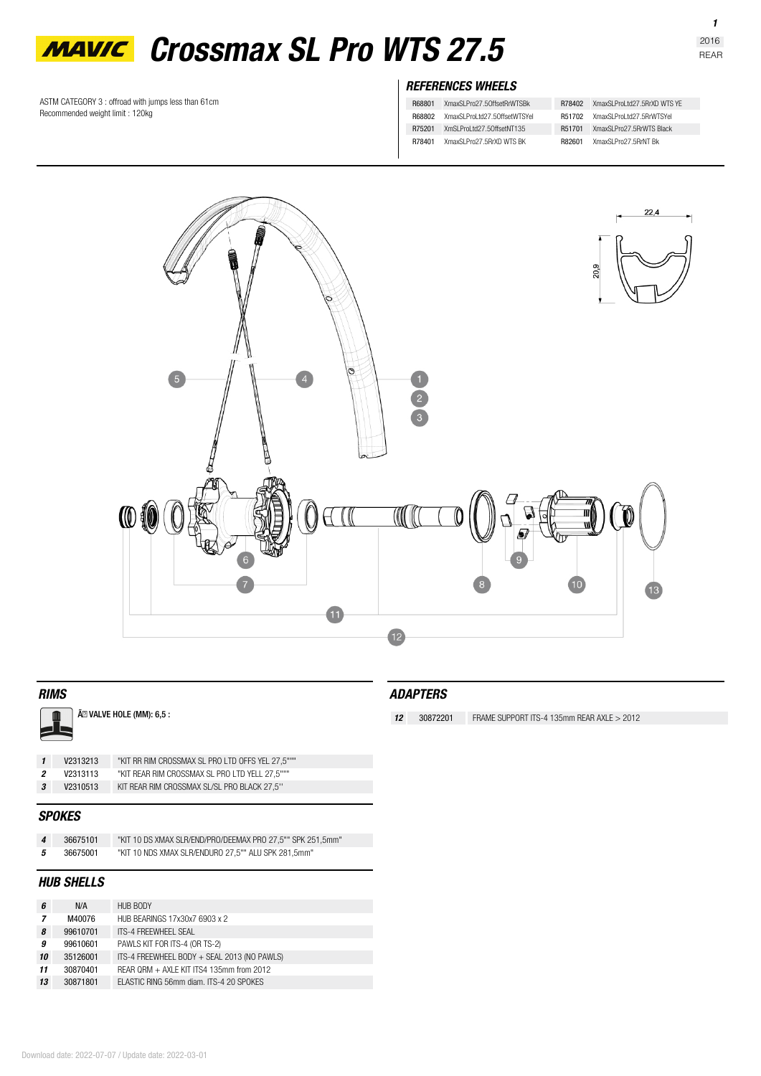

ASTM CATEGORY 3 : offroad with jumps less than 61cm Recommended weight limit : 120kg

# *REFERENCES WHEELS*

| R68801        | XmaxSLPro27.50ffsetRrWTSBk   | R78402        | XmaxSI ProLtd27.5RrXD WTS YF |
|---------------|------------------------------|---------------|------------------------------|
| <b>R68802</b> | XmaxSLProLtd27.50ffsetWTSYeL | R51702        | XmaxSI ProLtd27.5RrWTSYeL    |
| R75201        | XmSI ProLtd27.50ffsetNT135   | R51701        | XmaxSI Pro27.5RrWTS Black    |
| R78401        | XmaxSI Pro27.5RrXD WTS BK    | <b>R82601</b> | XmaxSI Pro27.5RrNT Bk        |
|               |                              |               |                              |



### *RIMS*

### Ã<sup>2</sup> VALVE HOLE (MM): 6,5 :

|              | V2313213 | "KIT RR RIM CROSSMAX SL PRO LTD OFFS YEL 27,5""" |
|--------------|----------|--------------------------------------------------|
| 2            | V2313113 | "KIT REAR RIM CROSSMAX SL PRO LTD YELL 27.5"""   |
| $\mathbf{3}$ | V2310513 | KIT REAR RIM CROSSMAX SL/SL PRO BLACK 27.5"      |
|              |          |                                                  |

## *SPOKES*

| 36675101 | "KIT 10 DS XMAX SLR/END/PRO/DEEMAX PRO 27.5"" SPK 251.5mm" |
|----------|------------------------------------------------------------|
| 36675001 | "KIT 10 NDS XMAX SLR/ENDURO 27,5"" ALU SPK 281,5mm"        |

# *HUB SHELLS*

| 6  | N/A                                                  | <b>HUB BODY</b>                             |
|----|------------------------------------------------------|---------------------------------------------|
| 7  | M40076                                               | HUB BEARINGS 17x30x7 6903 x 2               |
| 8  | 99610701                                             | ITS-4 FREEWHEEL SEAL                        |
| 9  | 99610601                                             | PAWLS KIT FOR ITS-4 (OR TS-2)               |
| 10 | 35126001                                             | ITS-4 FREEWHEEL BODY + SEAL 2013 (NO PAWLS) |
| 11 | REAR QRM + AXLE KIT ITS4 135mm from 2012<br>30870401 |                                             |
| 13 | ELASTIC RING 56mm diam. ITS-4 20 SPOKES<br>30871801  |                                             |

*12* **30872201** FRAME SUPPORT ITS-4 135mm REAR AXLE > 2012

*1*